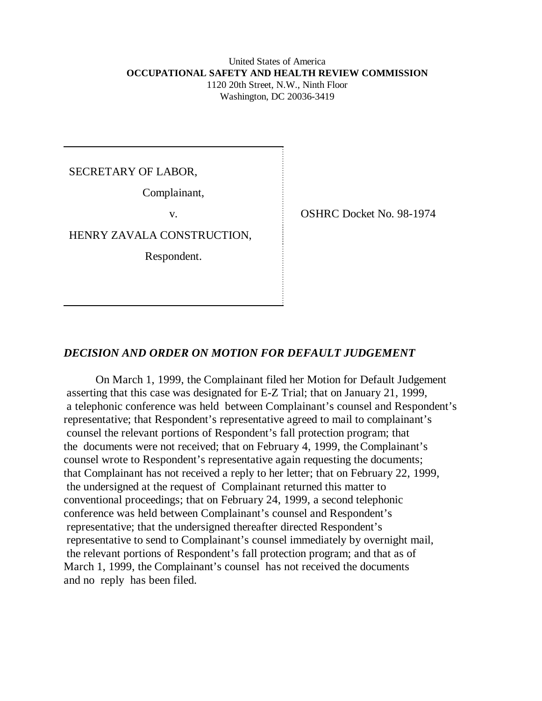## United States of America  **OCCUPATIONAL SAFETY AND HEALTH REVIEW COMMISSION** 1120 20th Street, N.W., Ninth Floor Washington, DC 20036-3419

SECRETARY OF LABOR,

Complainant,

HENRY ZAVALA CONSTRUCTION,

Respondent.

v. SHRC Docket No. 98-1974

## *DECISION AND ORDER ON MOTION FOR DEFAULT JUDGEMENT*

On March 1, 1999, the Complainant filed her Motion for Default Judgement asserting that this case was designated for E-Z Trial; that on January 21, 1999, a telephonic conference was held between Complainant's counsel and Respondent's representative; that Respondent's representative agreed to mail to complainant's counsel the relevant portions of Respondent's fall protection program; that the documents were not received; that on February 4, 1999, the Complainant's counsel wrote to Respondent's representative again requesting the documents; that Complainant has not received a reply to her letter; that on February 22, 1999, the undersigned at the request of Complainant returned this matter to conventional proceedings; that on February 24, 1999, a second telephonic conference was held between Complainant's counsel and Respondent's representative; that the undersigned thereafter directed Respondent's representative to send to Complainant's counsel immediately by overnight mail, the relevant portions of Respondent's fall protection program; and that as of March 1, 1999, the Complainant's counsel has not received the documents and no reply has been filed.